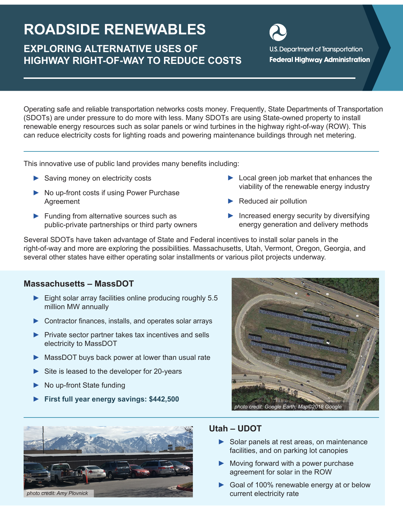# **ROADSIDE RENEWABLES**

# **EXPLORING ALTERNATIVE USES OF HIGHWAY RIGHT-OF-WAY TO REDUCE COSTS**

**U.S. Department of Transportation Federal Highway Administration** 

Operating safe and reliable transportation networks costs money. Frequently, State Departments of Transportation (SDOTs) are under pressure to do more with less. Many SDOTs are using State-owned property to install renewable energy resources such as solar panels or wind turbines in the highway right-of-way (ROW). This can reduce electricity costs for lighting roads and powering maintenance buildings through net metering.

This innovative use of public land provides many benefits including:

- **►** Saving money on electricity costs
- **►** No up-front costs if using Power Purchase Agreement
- **►** Funding from alternative sources such as public-private partnerships or third party owners
- **►** Local green job market that enhances the viability of the renewable energy industry
- **►** Reduced air pollution
- **►** Increased energy security by diversifying energy generation and delivery methods

Several SDOTs have taken advantage of State and Federal incentives to install solar panels in the right-of-way and more are exploring the possibilities. Massachusetts, Utah, Vermont, Oregon, Georgia, and several other states have either operating solar installments or various pilot projects underway.

#### **Massachusetts – MassDOT**

- **►** Eight solar array facilities online producing roughly 5.5 million MW annually
- **►** Contractor finances, installs, and operates solar arrays
- **►** Private sector partner takes tax incentives and sells electricity to MassDOT
- **►** MassDOT buys back power at lower than usual rate
- **►** Site is leased to the developer for 20-years
- **►** No up-front State funding
- **► First full year energy savings: \$442,500**





#### **Utah – UDOT**

- **►** Solar panels at rest areas, on maintenance facilities, and on parking lot canopies
- **►** Moving forward with a power purchase agreement for solar in the ROW
- **►** Goal of 100% renewable energy at or below